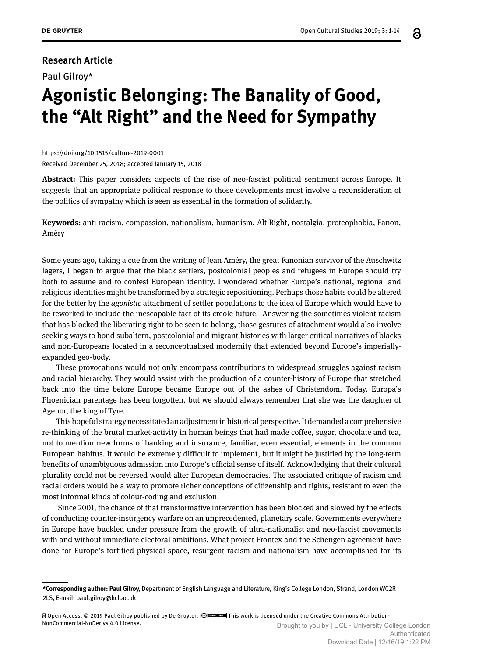ஜ

Download Date | 12/16/19 1:22 PM

#### **Research Article**

#### Paul Gilroy\*

# **Agonistic Belonging: The Banality of Good, the "Alt Right" and the Need for Sympathy**

https://doi.org/10.1515/culture-2019-0001 Received December 25, 2018; accepted January 15, 2018

**Abstract:** This paper considers aspects of the rise of neo-fascist political sentiment across Europe. It suggests that an appropriate political response to those developments must involve a reconsideration of the politics of sympathy which is seen as essential in the formation of solidarity.

**Keywords:** anti-racism, compassion, nationalism, humanism, Alt Right, nostalgia, proteophobia, Fanon, Améry

Some years ago, taking a cue from the writing of Jean Améry, the great Fanonian survivor of the Auschwitz lagers, I began to argue that the black settlers, postcolonial peoples and refugees in Europe should try both to assume and to contest European identity. I wondered whether Europe's national, regional and religious identities might be transformed by a strategic repositioning. Perhaps those habits could be altered for the better by the *agonistic* attachment of settler populations to the idea of Europe which would have to be reworked to include the inescapable fact of its creole future. Answering the sometimes-violent racism that has blocked the liberating right to be seen to belong, those gestures of attachment would also involve seeking ways to bond subaltern, postcolonial and migrant histories with larger critical narratives of blacks and non-Europeans located in a reconceptualised modernity that extended beyond Europe's imperiallyexpanded geo-body.

These provocations would not only encompass contributions to widespread struggles against racism and racial hierarchy. They would assist with the production of a counter-history of Europe that stretched back into the time before Europe became Europe out of the ashes of Christendom. Today, Europa's Phoenician parentage has been forgotten, but we should always remember that she was the daughter of Agenor, the king of Tyre.

This hopeful strategy necessitated an adjustment in historical perspective. It demanded a comprehensive re-thinking of the brutal market-activity in human beings that had made coffee, sugar, chocolate and tea, not to mention new forms of banking and insurance, familiar, even essential, elements in the common European habitus. It would be extremely difficult to implement, but it might be justified by the long-term benefits of unambiguous admission into Europe's official sense of itself. Acknowledging that their cultural plurality could not be reversed would alter European democracies. The associated critique of racism and racial orders would be a way to promote richer conceptions of citizenship and rights, resistant to even the most informal kinds of colour-coding and exclusion.

 Since 2001, the chance of that transformative intervention has been blocked and slowed by the effects of conducting counter-insurgency warfare on an unprecedented, planetary scale. Governments everywhere in Europe have buckled under pressure from the growth of ultra-nationalist and neo-fascist movements with and without immediate electoral ambitions. What project Frontex and the Schengen agreement have done for Europe's fortified physical space, resurgent racism and nationalism have accomplished for its

**<sup>\*</sup>Corresponding author: Paul Gilroy,** Department of English Language and Literature, King's College London, Strand, London WC2R 2LS, E-mail: paul.gilroy@kcl.ac.uk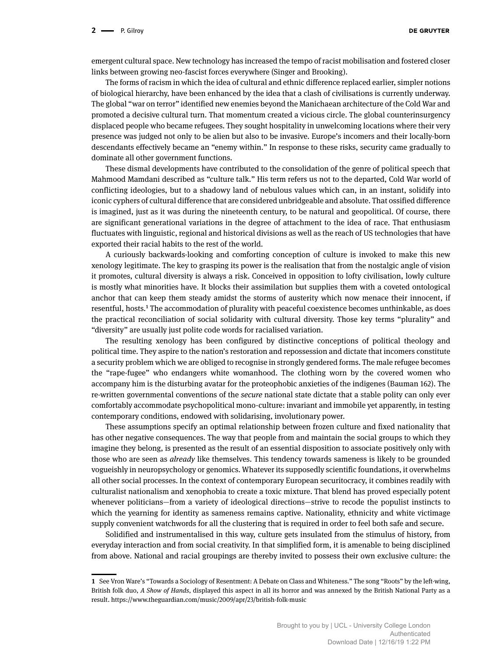emergent cultural space. New technology has increased the tempo of racist mobilisation and fostered closer links between growing neo-fascist forces everywhere (Singer and Brooking).

The forms of racism in which the idea of cultural and ethnic difference replaced earlier, simpler notions of biological hierarchy, have been enhanced by the idea that a clash of civilisations is currently underway. The global "war on terror" identified new enemies beyond the Manichaean architecture of the Cold War and promoted a decisive cultural turn. That momentum created a vicious circle. The global counterinsurgency displaced people who became refugees. They sought hospitality in unwelcoming locations where their very presence was judged not only to be alien but also to be invasive. Europe's incomers and their locally-born descendants effectively became an "enemy within." In response to these risks, security came gradually to dominate all other government functions.

These dismal developments have contributed to the consolidation of the genre of political speech that Mahmood Mamdani described as "culture talk." His term refers us not to the departed, Cold War world of conflicting ideologies, but to a shadowy land of nebulous values which can, in an instant, solidify into iconic cyphers of cultural difference that are considered unbridgeable and absolute. That ossified difference is imagined, just as it was during the nineteenth century, to be natural and geopolitical. Of course, there are significant generational variations in the degree of attachment to the idea of race. That enthusiasm fluctuates with linguistic, regional and historical divisions as well as the reach of US technologies that have exported their racial habits to the rest of the world.

A curiously backwards-looking and comforting conception of culture is invoked to make this new xenology legitimate. The key to grasping its power is the realisation that from the nostalgic angle of vision it promotes, cultural diversity is always a risk. Conceived in opposition to lofty civilisation, lowly culture is mostly what minorities have. It blocks their assimilation but supplies them with a coveted ontological anchor that can keep them steady amidst the storms of austerity which now menace their innocent, if resentful, hosts.<sup>1</sup> The accommodation of plurality with peaceful coexistence becomes unthinkable, as does the practical reconciliation of social solidarity with cultural diversity. Those key terms "plurality" and "diversity" are usually just polite code words for racialised variation.

The resulting xenology has been configured by distinctive conceptions of political theology and political time. They aspire to the nation's restoration and repossession and dictate that incomers constitute a security problem which we are obliged to recognise in strongly gendered forms. The male refugee becomes the "rape-fugee" who endangers white womanhood. The clothing worn by the covered women who accompany him is the disturbing avatar for the proteophobic anxieties of the indigenes (Bauman 162). The re-written governmental conventions of the *secure* national state dictate that a stable polity can only ever comfortably accommodate psychopolitical mono-culture: invariant and immobile yet apparently, in testing contemporary conditions, endowed with solidarising, involutionary power.

These assumptions specify an optimal relationship between frozen culture and fixed nationality that has other negative consequences. The way that people from and maintain the social groups to which they imagine they belong, is presented as the result of an essential disposition to associate positively only with those who are seen as *already* like themselves. This tendency towards sameness is likely to be grounded vogueishly in neuropsychology or genomics. Whatever its supposedly scientific foundations, it overwhelms all other social processes. In the context of contemporary European securitocracy, it combines readily with culturalist nationalism and xenophobia to create a toxic mixture. That blend has proved especially potent whenever politicians—from a variety of ideological directions—strive to recode the populist instincts to which the yearning for identity as sameness remains captive. Nationality, ethnicity and white victimage supply convenient watchwords for all the clustering that is required in order to feel both safe and secure.

Solidified and instrumentalised in this way, culture gets insulated from the stimulus of history, from everyday interaction and from social creativity. In that simplified form, it is amenable to being disciplined from above. National and racial groupings are thereby invited to possess their own exclusive culture: the

**<sup>1</sup>** See Vron Ware's "Towards a Sociology of Resentment: A Debate on Class and Whiteness." The song "Roots" by the left-wing, British folk duo, *A Show of Hands*, displayed this aspect in all its horror and was annexed by the British National Party as a result.<https://www.theguardian.com/music/2009/apr/23/british-folk-music>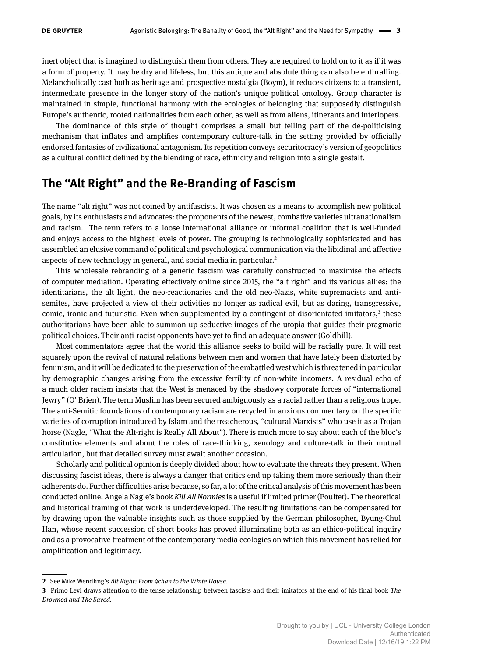inert object that is imagined to distinguish them from others. They are required to hold on to it as if it was a form of property. It may be dry and lifeless, but this antique and absolute thing can also be enthralling. Melancholically cast both as heritage and prospective nostalgia (Boym), it reduces citizens to a transient, intermediate presence in the longer story of the nation's unique political ontology. Group character is maintained in simple, functional harmony with the ecologies of belonging that supposedly distinguish Europe's authentic, rooted nationalities from each other, as well as from aliens, itinerants and interlopers.

The dominance of this style of thought comprises a small but telling part of the de-politicising mechanism that inflates and amplifies contemporary culture-talk in the setting provided by officially endorsed fantasies of civilizational antagonism. Its repetition conveys securitocracy's version of geopolitics as a cultural conflict defined by the blending of race, ethnicity and religion into a single gestalt.

## **The "Alt Right" and the Re-Branding of Fascism**

The name "alt right" was not coined by antifascists. It was chosen as a means to accomplish new political goals, by its enthusiasts and advocates: the proponents of the newest, combative varieties ultranationalism and racism. The term refers to a loose international alliance or informal coalition that is well-funded and enjoys access to the highest levels of power. The grouping is technologically sophisticated and has assembled an elusive command of political and psychological communication via the libidinal and affective aspects of new technology in general, and social media in particular.2

This wholesale rebranding of a generic fascism was carefully constructed to maximise the effects of computer mediation. Operating effectively online since 2015, the "alt right" and its various allies: the identitarians, the alt light, the neo-reactionaries and the old neo-Nazis, white supremacists and antisemites, have projected a view of their activities no longer as radical evil, but as daring, transgressive, comic, ironic and futuristic. Even when supplemented by a contingent of disorientated imitators,<sup>3</sup> these authoritarians have been able to summon up seductive images of the utopia that guides their pragmatic political choices. Their anti-racist opponents have yet to find an adequate answer (Goldhill).

Most commentators agree that the world this alliance seeks to build will be racially pure. It will rest squarely upon the revival of natural relations between men and women that have lately been distorted by feminism, and it will be dedicated to the preservation of the embattled west which is threatened in particular by demographic changes arising from the excessive fertility of non-white incomers. A residual echo of a much older racism insists that the West is menaced by the shadowy corporate forces of "international Jewry" (O' Brien). The term Muslim has been secured ambiguously as a racial rather than a religious trope. The anti-Semitic foundations of contemporary racism are recycled in anxious commentary on the specific varieties of corruption introduced by Islam and the treacherous, "cultural Marxists" who use it as a Trojan horse (Nagle, "What the Alt-right is Really All About"). There is much more to say about each of the bloc's constitutive elements and about the roles of race-thinking, xenology and culture-talk in their mutual articulation, but that detailed survey must await another occasion.

Scholarly and political opinion is deeply divided about how to evaluate the threats they present. When discussing fascist ideas, there is always a danger that critics end up taking them more seriously than their adherents do. Further difficulties arise because, so far, a lot of the critical analysis of this movement has been conducted online. Angela Nagle's book *Kill All Normies* is a useful if limited primer (Poulter). The theoretical and historical framing of that work is underdeveloped. The resulting limitations can be compensated for by drawing upon the valuable insights such as those supplied by the German philosopher, Byung-Chul Han, whose recent succession of short books has proved illuminating both as an ethico-political inquiry and as a provocative treatment of the contemporary media ecologies on which this movement has relied for amplification and legitimacy.

**3** Primo Levi draws attention to the tense relationship between fascists and their imitators at the end of his final book *The Drowned and The Saved.*

**<sup>2</sup>** See Mike Wendling's *Alt Right: From 4chan to the White House*.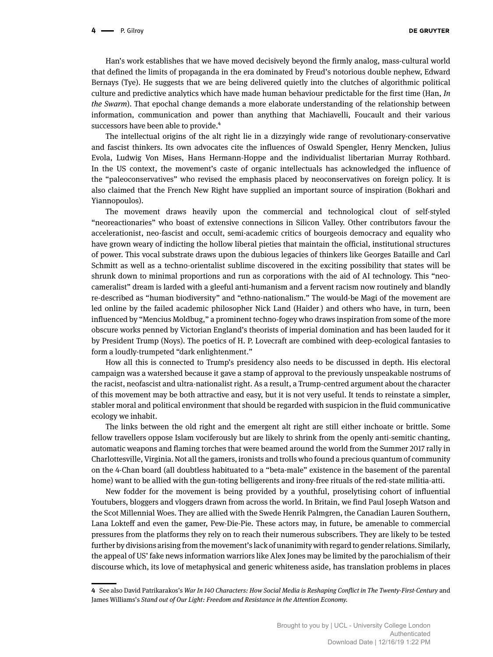Han's work establishes that we have moved decisively beyond the firmly analog, mass-cultural world that defined the limits of propaganda in the era dominated by Freud's notorious double nephew, Edward Bernays (Tye). He suggests that we are being delivered quietly into the clutches of algorithmic political culture and predictive analytics which have made human behaviour predictable for the first time (Han, *In the Swarm*). That epochal change demands a more elaborate understanding of the relationship between information, communication and power than anything that Machiavelli, Foucault and their various successors have been able to provide.<sup>4</sup>

The intellectual origins of the alt right lie in a dizzyingly wide range of revolutionary-conservative and fascist thinkers. Its own advocates cite the influences of Oswald Spengler, Henry Mencken, Julius Evola, Ludwig Von Mises, Hans Hermann-Hoppe and the individualist libertarian Murray Rothbard. In the US context, the movement's caste of organic intellectuals has acknowledged the influence of the "paleoconservatives" who revised the emphasis placed by neoconservatives on foreign policy. It is also claimed that the French New Right have supplied an important source of inspiration (Bokhari and Yiannopoulos).

The movement draws heavily upon the commercial and technological clout of self-styled "neoreactionaries" who boast of extensive connections in Silicon Valley. Other contributors favour the accelerationist, neo-fascist and occult, semi-academic critics of bourgeois democracy and equality who have grown weary of indicting the hollow liberal pieties that maintain the official, institutional structures of power. This vocal substrate draws upon the dubious legacies of thinkers like Georges Bataille and Carl Schmitt as well as a techno-orientalist sublime discovered in the exciting possibility that states will be shrunk down to minimal proportions and run as corporations with the aid of AI technology. This "neocameralist" dream is larded with a gleeful anti-humanism and a fervent racism now routinely and blandly re-described as "human biodiversity" and "ethno-nationalism." The would-be Magi of the movement are led online by the failed academic philosopher Nick Land (Haider ) and others who have, in turn, been influenced by "Mencius Moldbug," a prominent techno-fogey who draws inspiration from some of the more obscure works penned by Victorian England's theorists of imperial domination and has been lauded for it by President Trump (Noys). The poetics of H. P. Lovecraft are combined with deep-ecological fantasies to form a loudly-trumpeted "dark enlightenment."

How all this is connected to Trump's presidency also needs to be discussed in depth. His electoral campaign was a watershed because it gave a stamp of approval to the previously unspeakable nostrums of the racist, neofascist and ultra-nationalist right. As a result, a Trump-centred argument about the character of this movement may be both attractive and easy, but it is not very useful. It tends to reinstate a simpler, stabler moral and political environment that should be regarded with suspicion in the fluid communicative ecology we inhabit.

The links between the old right and the emergent alt right are still either inchoate or brittle. Some fellow travellers oppose Islam vociferously but are likely to shrink from the openly anti-semitic chanting, automatic weapons and flaming torches that were beamed around the world from the Summer 2017 rally in Charlottesville, Virginia. Not all the gamers, ironists and trolls who found a precious quantum of community on the 4-Chan board (all doubtless habituated to a "beta-male" existence in the basement of the parental home) want to be allied with the gun-toting belligerents and irony-free rituals of the red-state militia-atti.

New fodder for the movement is being provided by a youthful, proselytising cohort of influential Youtubers, bloggers and vloggers drawn from across the world. In Britain, we find Paul Joseph Watson and the Scot Millennial Woes. They are allied with the Swede Henrik Palmgren, the Canadian Lauren Southern, Lana Lokteff and even the gamer, Pew-Die-Pie. These actors may, in future, be amenable to commercial pressures from the platforms they rely on to reach their numerous subscribers. They are likely to be tested further by divisions arising from the movement's lack of unanimity with regard to gender relations. Similarly, the appeal of US' fake news information warriors like Alex Jones may be limited by the parochialism of their discourse which, its love of metaphysical and generic whiteness aside, has translation problems in places

**<sup>4</sup>** See also David Patrikarakos's *War In 140 Characters: How Social Media is Reshaping Conflict in The Twenty-First-Century* and James Williams's *Stand out of Our Light: Freedom and Resistance in the Attention Economy.*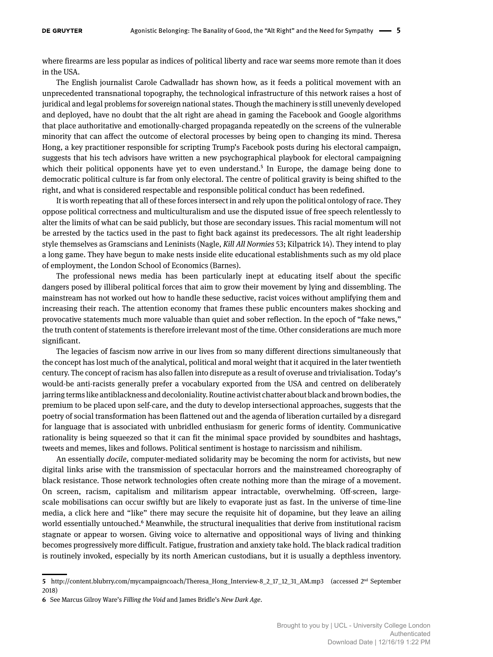where firearms are less popular as indices of political liberty and race war seems more remote than it does in the USA.

The English journalist Carole Cadwalladr has shown how, as it feeds a political movement with an unprecedented transnational topography, the technological infrastructure of this network raises a host of juridical and legal problems for sovereign national states. Though the machinery is still unevenly developed and deployed, have no doubt that the alt right are ahead in gaming the Facebook and Google algorithms that place authoritative and emotionally-charged propaganda repeatedly on the screens of the vulnerable minority that can affect the outcome of electoral processes by being open to changing its mind. Theresa Hong, a key practitioner responsible for scripting Trump's Facebook posts during his electoral campaign, suggests that his tech advisors have written a new psychographical playbook for electoral campaigning which their political opponents have yet to even understand.<sup>5</sup> In Europe, the damage being done to democratic political culture is far from only electoral. The centre of political gravity is being shifted to the right, and what is considered respectable and responsible political conduct has been redefined.

It is worth repeating that all of these forces intersect in and rely upon the political ontology of race. They oppose political correctness and multiculturalism and use the disputed issue of free speech relentlessly to alter the limits of what can be said publicly, but those are secondary issues. This racial momentum will not be arrested by the tactics used in the past to fight back against its predecessors. The alt right leadership style themselves as Gramscians and Leninists (Nagle, *Kill All Normies* 53; Kilpatrick 14). They intend to play a long game. They have begun to make nests inside elite educational establishments such as my old place of employment, the London School of Economics (Barnes).

The professional news media has been particularly inept at educating itself about the specific dangers posed by illiberal political forces that aim to grow their movement by lying and dissembling. The mainstream has not worked out how to handle these seductive, racist voices without amplifying them and increasing their reach. The attention economy that frames these public encounters makes shocking and provocative statements much more valuable than quiet and sober reflection. In the epoch of "fake news," the truth content of statements is therefore irrelevant most of the time. Other considerations are much more significant.

The legacies of fascism now arrive in our lives from so many different directions simultaneously that the concept has lost much of the analytical, political and moral weight that it acquired in the later twentieth century. The concept of racism has also fallen into disrepute as a result of overuse and trivialisation. Today's would-be anti-racists generally prefer a vocabulary exported from the USA and centred on deliberately jarring terms like antiblackness and decoloniality. Routine activist chatter about black and brown bodies, the premium to be placed upon self-care, and the duty to develop intersectional approaches, suggests that the poetry of social transformation has been flattened out and the agenda of liberation curtailed by a disregard for language that is associated with unbridled enthusiasm for generic forms of identity. Communicative rationality is being squeezed so that it can fit the minimal space provided by soundbites and hashtags, tweets and memes, likes and follows. Political sentiment is hostage to narcissism and nihilism.

An essentially *docile*, computer-mediated solidarity may be becoming the norm for activists, but new digital links arise with the transmission of spectacular horrors and the mainstreamed choreography of black resistance. Those network technologies often create nothing more than the mirage of a movement. On screen, racism, capitalism and militarism appear intractable, overwhelming. Off-screen, largescale mobilisations can occur swiftly but are likely to evaporate just as fast. In the universe of time-line media, a click here and "like" there may secure the requisite hit of dopamine, but they leave an ailing world essentially untouched.<sup>6</sup> Meanwhile, the structural inequalities that derive from institutional racism stagnate or appear to worsen. Giving voice to alternative and oppositional ways of living and thinking becomes progressively more difficult. Fatigue, frustration and anxiety take hold. The black radical tradition is routinely invoked, especially by its north American custodians, but it is usually a depthless inventory.

**<sup>5</sup>** [http://content.blubrry.com/mycampaigncoach/Theresa\\_Hong\\_Interview-8\\_2\\_17\\_12\\_31\\_AM.mp3](http://content.blubrry.com/mycampaigncoach/Theresa_Hong_Interview-8_2_17_12_31_AM.mp3) (accessed 2nd September 2018)

**<sup>6</sup>** See Marcus Gilroy Ware's *Filling the Void* and James Bridle's *New Dark Age*.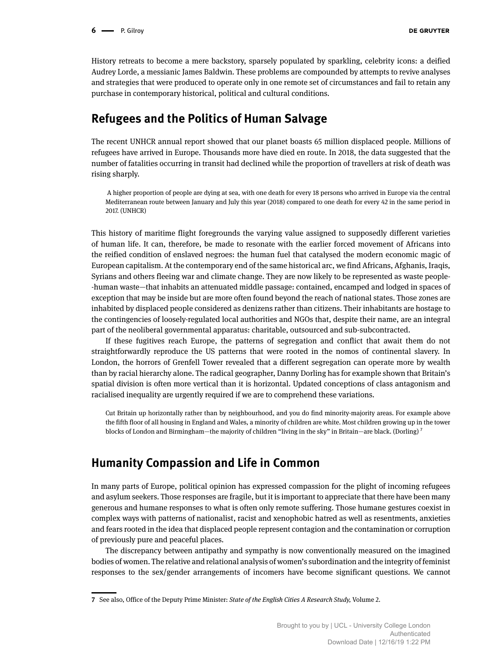History retreats to become a mere backstory, sparsely populated by sparkling, celebrity icons: a deified Audrey Lorde, a messianic James Baldwin. These problems are compounded by attempts to revive analyses and strategies that were produced to operate only in one remote set of circumstances and fail to retain any purchase in contemporary historical, political and cultural conditions.

#### **Refugees and the Politics of Human Salvage**

The recent UNHCR annual report showed that our planet boasts 65 million displaced people. Millions of refugees have arrived in Europe. Thousands more have died en route. In 2018, the data suggested that the number of fatalities occurring in transit had declined while the proportion of travellers at risk of death was rising sharply.

 A higher proportion of people are dying at sea, with one death for every 18 persons who arrived in Europe via the central Mediterranean route between January and July this year (2018) compared to one death for every 42 in the same period in 2017. (UNHCR)

This history of maritime flight foregrounds the varying value assigned to supposedly different varieties of human life. It can, therefore, be made to resonate with the earlier forced movement of Africans into the reified condition of enslaved negroes: the human fuel that catalysed the modern economic magic of European capitalism. At the contemporary end of the same historical arc, we find Africans, Afghanis, Iraqis, Syrians and others fleeing war and climate change. They are now likely to be represented as waste people- -human waste—that inhabits an attenuated middle passage: contained, encamped and lodged in spaces of exception that may be inside but are more often found beyond the reach of national states. Those zones are inhabited by displaced people considered as denizens rather than citizens. Their inhabitants are hostage to the contingencies of loosely-regulated local authorities and NGOs that, despite their name, are an integral part of the neoliberal governmental apparatus: charitable, outsourced and sub-subcontracted.

If these fugitives reach Europe, the patterns of segregation and conflict that await them do not straightforwardly reproduce the US patterns that were rooted in the nomos of continental slavery. In London, the horrors of Grenfell Tower revealed that a different segregation can operate more by wealth than by racial hierarchy alone. The radical geographer, Danny Dorling has for example shown that Britain's spatial division is often more vertical than it is horizontal. Updated conceptions of class antagonism and racialised inequality are urgently required if we are to comprehend these variations.

Cut Britain up horizontally rather than by neighbourhood, and you do find minority-majority areas. For example above the fifth floor of all housing in England and Wales, a minority of children are white. Most children growing up in the tower blocks of London and Birmingham—the majority of children "living in the sky" in Britain—are black. (Dorling) 7

#### **Humanity Compassion and Life in Common**

In many parts of Europe, political opinion has expressed compassion for the plight of incoming refugees and asylum seekers. Those responses are fragile, but it is important to appreciate that there have been many generous and humane responses to what is often only remote suffering. Those humane gestures coexist in complex ways with patterns of nationalist, racist and xenophobic hatred as well as resentments, anxieties and fears rooted in the idea that displaced people represent contagion and the contamination or corruption of previously pure and peaceful places.

The discrepancy between antipathy and sympathy is now conventionally measured on the imagined bodies of women. The relative and relational analysis of women's subordination and the integrity of feminist responses to the sex/gender arrangements of incomers have become significant questions. We cannot

**<sup>7</sup>** See also, Office of the Deputy Prime Minister: *State of the English Cities A Research Study,* Volume 2.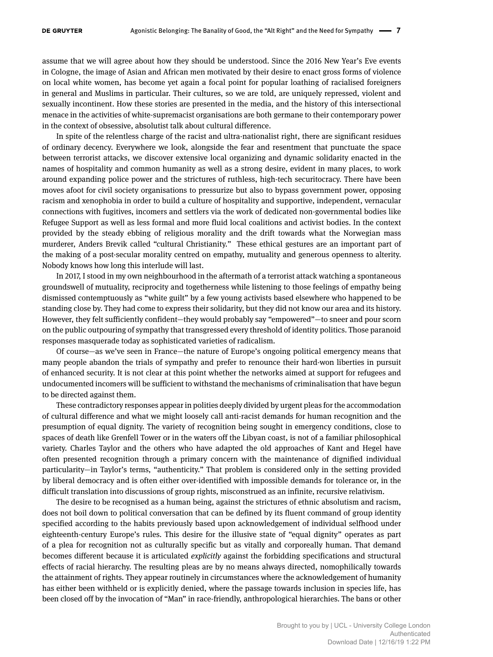assume that we will agree about how they should be understood. Since the 2016 New Year's Eve events in Cologne, the image of Asian and African men motivated by their desire to enact gross forms of violence on local white women, has become yet again a focal point for popular loathing of racialised foreigners in general and Muslims in particular. Their cultures, so we are told, are uniquely repressed, violent and sexually incontinent. How these stories are presented in the media, and the history of this intersectional menace in the activities of white-supremacist organisations are both germane to their contemporary power in the context of obsessive, absolutist talk about cultural difference.

In spite of the relentless charge of the racist and ultra-nationalist right, there are significant residues of ordinary decency. Everywhere we look, alongside the fear and resentment that punctuate the space between terrorist attacks, we discover extensive local organizing and dynamic solidarity enacted in the names of hospitality and common humanity as well as a strong desire, evident in many places, to work around expanding police power and the strictures of ruthless, high-tech securitocracy. There have been moves afoot for civil society organisations to pressurize but also to bypass government power, opposing racism and xenophobia in order to build a culture of hospitality and supportive, independent, vernacular connections with fugitives, incomers and settlers via the work of dedicated non-governmental bodies like Refugee Support as well as less formal and more fluid local coalitions and activist bodies. In the context provided by the steady ebbing of religious morality and the drift towards what the Norwegian mass murderer, Anders Brevik called "cultural Christianity." These ethical gestures are an important part of the making of a post-secular morality centred on empathy, mutuality and generous openness to alterity. Nobody knows how long this interlude will last.

In 2017, I stood in my own neighbourhood in the aftermath of a terrorist attack watching a spontaneous groundswell of mutuality, reciprocity and togetherness while listening to those feelings of empathy being dismissed contemptuously as "white guilt" by a few young activists based elsewhere who happened to be standing close by. They had come to express their solidarity, but they did not know our area and its history. However, they felt sufficiently confident—they would probably say "empowered"—to sneer and pour scorn on the public outpouring of sympathy that transgressed every threshold of identity politics. Those paranoid responses masquerade today as sophisticated varieties of radicalism.

Of course—as we've seen in France—the nature of Europe's ongoing political emergency means that many people abandon the trials of sympathy and prefer to renounce their hard-won liberties in pursuit of enhanced security. It is not clear at this point whether the networks aimed at support for refugees and undocumented incomers will be sufficient to withstand the mechanisms of criminalisation that have begun to be directed against them.

These contradictory responses appear in polities deeply divided by urgent pleas for the accommodation of cultural difference and what we might loosely call anti-racist demands for human recognition and the presumption of equal dignity. The variety of recognition being sought in emergency conditions, close to spaces of death like Grenfell Tower or in the waters off the Libyan coast, is not of a familiar philosophical variety. Charles Taylor and the others who have adapted the old approaches of Kant and Hegel have often presented recognition through a primary concern with the maintenance of dignified individual particularity—in Taylor's terms, "authenticity." That problem is considered only in the setting provided by liberal democracy and is often either over-identified with impossible demands for tolerance or, in the difficult translation into discussions of group rights, misconstrued as an infinite, recursive relativism.

The desire to be recognised as a human being, against the strictures of ethnic absolutism and racism, does not boil down to political conversation that can be defined by its fluent command of group identity specified according to the habits previously based upon acknowledgement of individual selfhood under eighteenth-century Europe's rules. This desire for the illusive state of "equal dignity" operates as part of a plea for recognition not as culturally specific but as vitally and corporeally human. That demand becomes different because it is articulated *explicitly* against the forbidding specifications and structural effects of racial hierarchy. The resulting pleas are by no means always directed, nomophilically towards the attainment of rights. They appear routinely in circumstances where the acknowledgement of humanity has either been withheld or is explicitly denied, where the passage towards inclusion in species life, has been closed off by the invocation of "Man" in race-friendly, anthropological hierarchies. The bans or other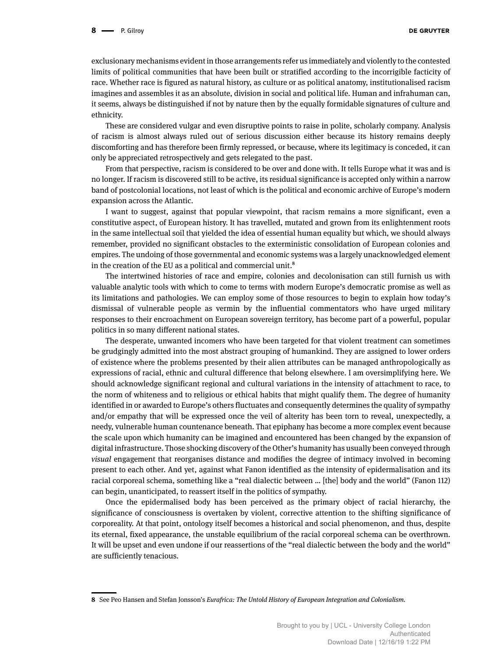exclusionary mechanisms evident in those arrangements refer us immediately and violently to the contested limits of political communities that have been built or stratified according to the incorrigible facticity of race. Whether race is figured as natural history, as culture or as political anatomy, institutionalised racism imagines and assembles it as an absolute, division in social and political life. Human and infrahuman can, it seems, always be distinguished if not by nature then by the equally formidable signatures of culture and ethnicity.

These are considered vulgar and even disruptive points to raise in polite, scholarly company. Analysis of racism is almost always ruled out of serious discussion either because its history remains deeply discomforting and has therefore been firmly repressed, or because, where its legitimacy is conceded, it can only be appreciated retrospectively and gets relegated to the past.

From that perspective, racism is considered to be over and done with. It tells Europe what it was and is no longer. If racism is discovered still to be active, its residual significance is accepted only within a narrow band of postcolonial locations, not least of which is the political and economic archive of Europe's modern expansion across the Atlantic.

I want to suggest, against that popular viewpoint, that racism remains a more significant, even a constitutive aspect, of European history. It has travelled, mutated and grown from its enlightenment roots in the same intellectual soil that yielded the idea of essential human equality but which, we should always remember, provided no significant obstacles to the exterministic consolidation of European colonies and empires. The undoing of those governmental and economic systems was a largely unacknowledged element in the creation of the EU as a political and commercial unit.<sup>8</sup>

The intertwined histories of race and empire, colonies and decolonisation can still furnish us with valuable analytic tools with which to come to terms with modern Europe's democratic promise as well as its limitations and pathologies. We can employ some of those resources to begin to explain how today's dismissal of vulnerable people as vermin by the influential commentators who have urged military responses to their encroachment on European sovereign territory, has become part of a powerful, popular politics in so many different national states.

The desperate, unwanted incomers who have been targeted for that violent treatment can sometimes be grudgingly admitted into the most abstract grouping of humankind. They are assigned to lower orders of existence where the problems presented by their alien attributes can be managed anthropologically as expressions of racial, ethnic and cultural difference that belong elsewhere. I am oversimplifying here. We should acknowledge significant regional and cultural variations in the intensity of attachment to race, to the norm of whiteness and to religious or ethical habits that might qualify them. The degree of humanity identified in or awarded to Europe's others fluctuates and consequently determines the quality of sympathy and/or empathy that will be expressed once the veil of alterity has been torn to reveal, unexpectedly, a needy, vulnerable human countenance beneath. That epiphany has become a more complex event because the scale upon which humanity can be imagined and encountered has been changed by the expansion of digital infrastructure. Those shocking discovery of the Other's humanity has usually been conveyed through *visual* engagement that reorganises distance and modifies the degree of intimacy involved in becoming present to each other. And yet, against what Fanon identified as the intensity of epidermalisation and its racial corporeal schema, something like a "real dialectic between … [the] body and the world" (Fanon 112) can begin, unanticipated, to reassert itself in the politics of sympathy.

Once the epidermalised body has been perceived as the primary object of racial hierarchy, the significance of consciousness is overtaken by violent, corrective attention to the shifting significance of corporeality. At that point, ontology itself becomes a historical and social phenomenon, and thus, despite its eternal, fixed appearance, the unstable equilibrium of the racial corporeal schema can be overthrown. It will be upset and even undone if our reassertions of the "real dialectic between the body and the world" are sufficiently tenacious.

**<sup>8</sup>** See Peo Hansen and Stefan Jonsson's *Eurafrica: The Untold History of European Integration and Colonialism.*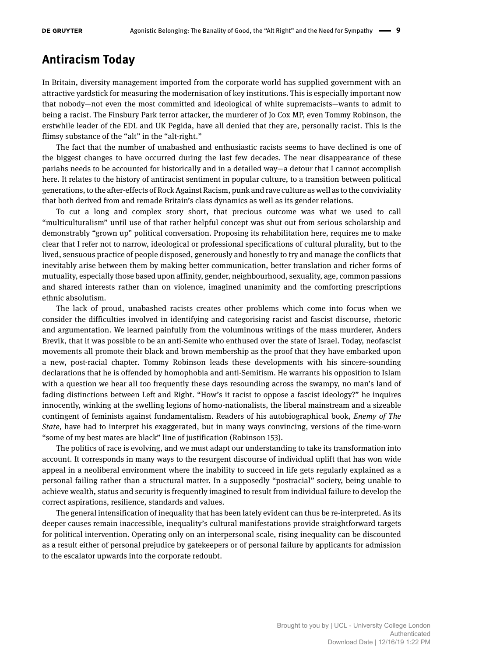## **Antiracism Today**

In Britain, diversity management imported from the corporate world has supplied government with an attractive yardstick for measuring the modernisation of key institutions. This is especially important now that nobody—not even the most committed and ideological of white supremacists—wants to admit to being a racist. The Finsbury Park terror attacker, the murderer of Jo Cox MP, even Tommy Robinson, the erstwhile leader of the EDL and UK Pegida, have all denied that they are, personally racist. This is the flimsy substance of the "alt" in the "alt-right."

The fact that the number of unabashed and enthusiastic racists seems to have declined is one of the biggest changes to have occurred during the last few decades. The near disappearance of these pariahs needs to be accounted for historically and in a detailed way—a detour that I cannot accomplish here. It relates to the history of antiracist sentiment in popular culture, to a transition between political generations, to the after-effects of Rock Against Racism, punk and rave culture as well as to the conviviality that both derived from and remade Britain's class dynamics as well as its gender relations.

To cut a long and complex story short, that precious outcome was what we used to call "multiculturalism" until use of that rather helpful concept was shut out from serious scholarship and demonstrably "grown up" political conversation. Proposing its rehabilitation here, requires me to make clear that I refer not to narrow, ideological or professional specifications of cultural plurality, but to the lived, sensuous practice of people disposed, generously and honestly to try and manage the conflicts that inevitably arise between them by making better communication, better translation and richer forms of mutuality, especially those based upon affinity, gender, neighbourhood, sexuality, age, common passions and shared interests rather than on violence, imagined unanimity and the comforting prescriptions ethnic absolutism.

The lack of proud, unabashed racists creates other problems which come into focus when we consider the difficulties involved in identifying and categorising racist and fascist discourse, rhetoric and argumentation. We learned painfully from the voluminous writings of the mass murderer, Anders Brevik, that it was possible to be an anti-Semite who enthused over the state of Israel. Today, neofascist movements all promote their black and brown membership as the proof that they have embarked upon a new, post-racial chapter. Tommy Robinson leads these developments with his sincere-sounding declarations that he is offended by homophobia and anti-Semitism. He warrants his opposition to Islam with a question we hear all too frequently these days resounding across the swampy, no man's land of fading distinctions between Left and Right. "How's it racist to oppose a fascist ideology?" he inquires innocently, winking at the swelling legions of homo-nationalists, the liberal mainstream and a sizeable contingent of feminists against fundamentalism. Readers of his autobiographical book, *Enemy of The State,* have had to interpret his exaggerated, but in many ways convincing, versions of the time-worn "some of my best mates are black" line of justification (Robinson 153).

The politics of race is evolving, and we must adapt our understanding to take its transformation into account. It corresponds in many ways to the resurgent discourse of individual uplift that has won wide appeal in a neoliberal environment where the inability to succeed in life gets regularly explained as a personal failing rather than a structural matter. In a supposedly "postracial" society, being unable to achieve wealth, status and security is frequently imagined to result from individual failure to develop the correct aspirations, resilience, standards and values.

The general intensification of inequality that has been lately evident can thus be re-interpreted. As its deeper causes remain inaccessible, inequality's cultural manifestations provide straightforward targets for political intervention. Operating only on an interpersonal scale, rising inequality can be discounted as a result either of personal prejudice by gatekeepers or of personal failure by applicants for admission to the escalator upwards into the corporate redoubt.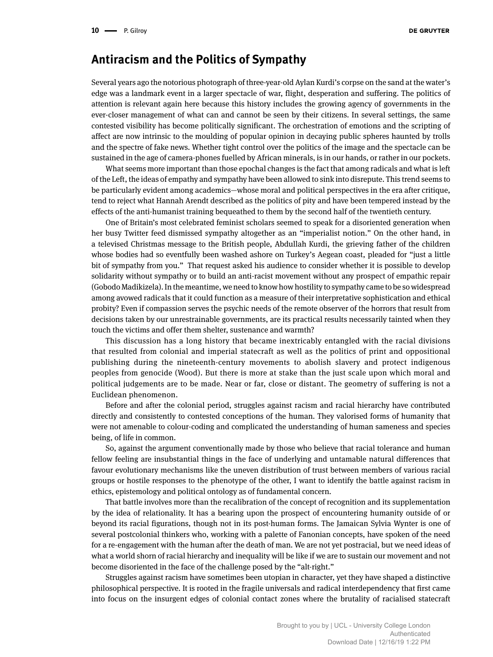#### **Antiracism and the Politics of Sympathy**

Several years ago the notorious photograph of three-year-old Aylan Kurdi's corpse on the sand at the water's edge was a landmark event in a larger spectacle of war, flight, desperation and suffering. The politics of attention is relevant again here because this history includes the growing agency of governments in the ever-closer management of what can and cannot be seen by their citizens. In several settings, the same contested visibility has become politically significant. The orchestration of emotions and the scripting of affect are now intrinsic to the moulding of popular opinion in decaying public spheres haunted by trolls and the spectre of fake news. Whether tight control over the politics of the image and the spectacle can be sustained in the age of camera-phones fuelled by African minerals, is in our hands, or rather in our pockets.

What seems more important than those epochal changes is the fact that among radicals and what is left of the Left, the ideas of empathy and sympathy have been allowed to sink into disrepute. This trend seems to be particularly evident among academics—whose moral and political perspectives in the era after critique, tend to reject what Hannah Arendt described as the politics of pity and have been tempered instead by the effects of the anti-humanist training bequeathed to them by the second half of the twentieth century.

One of Britain's most celebrated feminist scholars seemed to speak for a disoriented generation when her busy Twitter feed dismissed sympathy altogether as an "imperialist notion." On the other hand, in a televised Christmas message to the British people, Abdullah Kurdi, the grieving father of the children whose bodies had so eventfully been washed ashore on Turkey's Aegean coast, pleaded for "just a little bit of sympathy from you." That request asked his audience to consider whether it is possible to develop solidarity without sympathy or to build an anti-racist movement without any prospect of empathic repair (Gobodo Madikizela). In the meantime, we need to know how hostility to sympathy came to be so widespread among avowed radicals that it could function as a measure of their interpretative sophistication and ethical probity? Even if compassion serves the psychic needs of the remote observer of the horrors that result from decisions taken by our unrestrainable governments, are its practical results necessarily tainted when they touch the victims and offer them shelter, sustenance and warmth?

This discussion has a long history that became inextricably entangled with the racial divisions that resulted from colonial and imperial statecraft as well as the politics of print and oppositional publishing during the nineteenth-century movements to abolish slavery and protect indigenous peoples from genocide (Wood). But there is more at stake than the just scale upon which moral and political judgements are to be made. Near or far, close or distant. The geometry of suffering is not a Euclidean phenomenon.

Before and after the colonial period, struggles against racism and racial hierarchy have contributed directly and consistently to contested conceptions of the human. They valorised forms of humanity that were not amenable to colour-coding and complicated the understanding of human sameness and species being, of life in common.

So, against the argument conventionally made by those who believe that racial tolerance and human fellow feeling are insubstantial things in the face of underlying and untamable natural differences that favour evolutionary mechanisms like the uneven distribution of trust between members of various racial groups or hostile responses to the phenotype of the other, I want to identify the battle against racism in ethics, epistemology and political ontology as of fundamental concern.

That battle involves more than the recalibration of the concept of recognition and its supplementation by the idea of relationality. It has a bearing upon the prospect of encountering humanity outside of or beyond its racial figurations, though not in its post-human forms. The Jamaican Sylvia Wynter is one of several postcolonial thinkers who, working with a palette of Fanonian concepts, have spoken of the need for a re-engagement with the human after the death of man. We are not yet postracial, but we need ideas of what a world shorn of racial hierarchy and inequality will be like if we are to sustain our movement and not become disoriented in the face of the challenge posed by the "alt-right."

Struggles against racism have sometimes been utopian in character, yet they have shaped a distinctive philosophical perspective. It is rooted in the fragile universals and radical interdependency that first came into focus on the insurgent edges of colonial contact zones where the brutality of racialised statecraft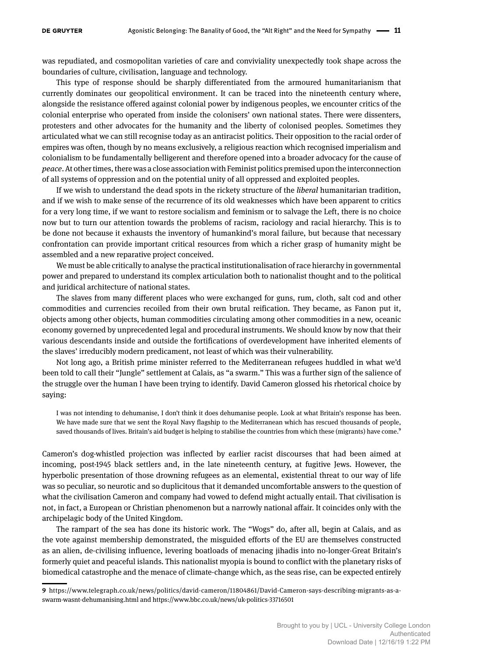was repudiated, and cosmopolitan varieties of care and conviviality unexpectedly took shape across the boundaries of culture, civilisation, language and technology.

This type of response should be sharply differentiated from the armoured humanitarianism that currently dominates our geopolitical environment. It can be traced into the nineteenth century where, alongside the resistance offered against colonial power by indigenous peoples, we encounter critics of the colonial enterprise who operated from inside the colonisers' own national states. There were dissenters, protesters and other advocates for the humanity and the liberty of colonised peoples. Sometimes they articulated what we can still recognise today as an antiracist politics. Their opposition to the racial order of empires was often, though by no means exclusively, a religious reaction which recognised imperialism and colonialism to be fundamentally belligerent and therefore opened into a broader advocacy for the cause of *peace*. At other times, there was a close association with Feminist politics premised upon the interconnection of all systems of oppression and on the potential unity of all oppressed and exploited peoples.

If we wish to understand the dead spots in the rickety structure of the *liberal* humanitarian tradition, and if we wish to make sense of the recurrence of its old weaknesses which have been apparent to critics for a very long time, if we want to restore socialism and feminism or to salvage the Left, there is no choice now but to turn our attention towards the problems of racism, raciology and racial hierarchy. This is to be done not because it exhausts the inventory of humankind's moral failure, but because that necessary confrontation can provide important critical resources from which a richer grasp of humanity might be assembled and a new reparative project conceived.

We must be able critically to analyse the practical institutionalisation of race hierarchy in governmental power and prepared to understand its complex articulation both to nationalist thought and to the political and juridical architecture of national states.

The slaves from many different places who were exchanged for guns, rum, cloth, salt cod and other commodities and currencies recoiled from their own brutal reification. They became, as Fanon put it, objects among other objects, human commodities circulating among other commodities in a new, oceanic economy governed by unprecedented legal and procedural instruments. We should know by now that their various descendants inside and outside the fortifications of overdevelopment have inherited elements of the slaves' irreducibly modern predicament, not least of which was their vulnerability.

Not long ago, a British prime minister referred to the Mediterranean refugees huddled in what we'd been told to call their "Jungle" settlement at Calais, as "a swarm." This was a further sign of the salience of the struggle over the human I have been trying to identify. David Cameron glossed his rhetorical choice by saying:

I was not intending to dehumanise, I don't think it does dehumanise people. Look at what Britain's response has been. We have made sure that we sent the Royal Navy flagship to the Mediterranean which has rescued thousands of people, saved thousands of lives. Britain's aid budget is helping to stabilise the countries from which these (migrants) have come.<sup>9</sup>

Cameron's dog-whistled projection was inflected by earlier racist discourses that had been aimed at incoming, post-1945 black settlers and, in the late nineteenth century, at fugitive Jews. However, the hyperbolic presentation of those drowning refugees as an elemental, existential threat to our way of life was so peculiar, so neurotic and so duplicitous that it demanded uncomfortable answers to the question of what the civilisation Cameron and company had vowed to defend might actually entail. That civilisation is not, in fact, a European or Christian phenomenon but a narrowly national affair. It coincides only with the archipelagic body of the United Kingdom.

The rampart of the sea has done its historic work. The "Wogs" do, after all, begin at Calais, and as the vote against membership demonstrated, the misguided efforts of the EU are themselves constructed as an alien, de-civilising influence, levering boatloads of menacing jihadis into no-longer-Great Britain's formerly quiet and peaceful islands. This nationalist myopia is bound to conflict with the planetary risks of biomedical catastrophe and the menace of climate-change which, as the seas rise, can be expected entirely

**<sup>9</sup>** [https://www.telegraph.co.uk/news/politics/david-cameron/11804861/David-Cameron-says-describing-migrants-as-a](https://www.telegraph.co.uk/news/politics/david-cameron/11804861/David-Cameron-says-describing-migrants-as-a-swarm-wasnt-dehumanising.html)[swarm-wasnt-dehumanising.html](https://www.telegraph.co.uk/news/politics/david-cameron/11804861/David-Cameron-says-describing-migrants-as-a-swarm-wasnt-dehumanising.html) and<https://www.bbc.co.uk/news/uk-politics-33716501>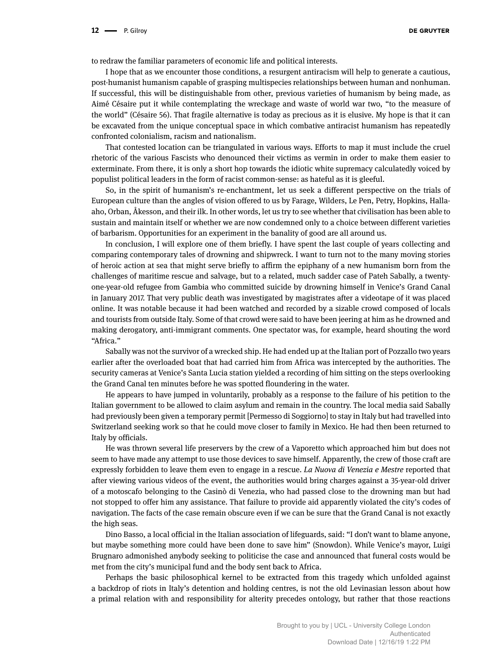to redraw the familiar parameters of economic life and political interests.

I hope that as we encounter those conditions, a resurgent antiracism will help to generate a cautious, post-humanist humanism capable of grasping multispecies relationships between human and nonhuman. If successful, this will be distinguishable from other, previous varieties of humanism by being made, as Aimé Césaire put it while contemplating the wreckage and waste of world war two, "to the measure of the world" (Césaire 56). That fragile alternative is today as precious as it is elusive. My hope is that it can be excavated from the unique conceptual space in which combative antiracist humanism has repeatedly confronted colonialism, racism and nationalism.

That contested location can be triangulated in various ways. Efforts to map it must include the cruel rhetoric of the various Fascists who denounced their victims as vermin in order to make them easier to exterminate. From there, it is only a short hop towards the idiotic white supremacy calculatedly voiced by populist political leaders in the form of racist common-sense: as hateful as it is gleeful.

So, in the spirit of humanism's re-enchantment, let us seek a different perspective on the trials of European culture than the angles of vision offered to us by Farage, Wilders, Le Pen, Petry, Hopkins, Hallaaho, Orban, Åkesson, and their ilk. In other words, let us try to see whether that civilisation has been able to sustain and maintain itself or whether we are now condemned only to a choice between different varieties of barbarism. Opportunities for an experiment in the banality of good are all around us.

In conclusion, I will explore one of them briefly. I have spent the last couple of years collecting and comparing contemporary tales of drowning and shipwreck. I want to turn not to the many moving stories of heroic action at sea that might serve briefly to affirm the epiphany of a new humanism born from the challenges of maritime rescue and salvage, but to a related, much sadder case of Pateh Sabally, a twentyone-year-old refugee from Gambia who committed suicide by drowning himself in Venice's Grand Canal in January 2017. That very public death was investigated by magistrates after a videotape of it was placed online. It was notable because it had been watched and recorded by a sizable crowd composed of locals and tourists from outside Italy. Some of that crowd were said to have been jeering at him as he drowned and making derogatory, anti-immigrant comments. One spectator was, for example, heard shouting the word "Africa."

Sabally was not the survivor of a wrecked ship. He had ended up at the Italian port of Pozzallo two years earlier after the overloaded boat that had carried him from Africa was intercepted by the authorities. The security cameras at Venice's Santa Lucia station yielded a recording of him sitting on the steps overlooking the Grand Canal ten minutes before he was spotted floundering in the water.

He appears to have jumped in voluntarily, probably as a response to the failure of his petition to the Italian government to be allowed to claim asylum and remain in the country. The local media said Sabally had previously been given a temporary permit [Permesso di Soggiorno] to stay in Italy but had travelled into Switzerland seeking work so that he could move closer to family in Mexico. He had then been returned to Italy by officials.

He was thrown several life preservers by the crew of a Vaporetto which approached him but does not seem to have made any attempt to use those devices to save himself. Apparently, the crew of those craft are expressly forbidden to leave them even to engage in a rescue. *La Nuova di Venezia e Mestre* reported that after viewing various videos of the event, the authorities would bring charges against a 35-year-old driver of a motoscafo belonging to the Casinò di Venezia, who had passed close to the drowning man but had not stopped to offer him any assistance. That failure to provide aid apparently violated the city's codes of navigation. The facts of the case remain obscure even if we can be sure that the Grand Canal is not exactly the high seas.

Dino Basso, a local official in the Italian association of lifeguards, said: "I don't want to blame anyone, but maybe something more could have been done to save him" (Snowdon). While Venice's mayor, Luigi Brugnaro admonished anybody seeking to politicise the case and announced that funeral costs would be met from the city's municipal fund and the body sent back to Africa.

Perhaps the basic philosophical kernel to be extracted from this tragedy which unfolded against a backdrop of riots in Italy's detention and holding centres, is not the old Levinasian lesson about how a primal relation with and responsibility for alterity precedes ontology, but rather that those reactions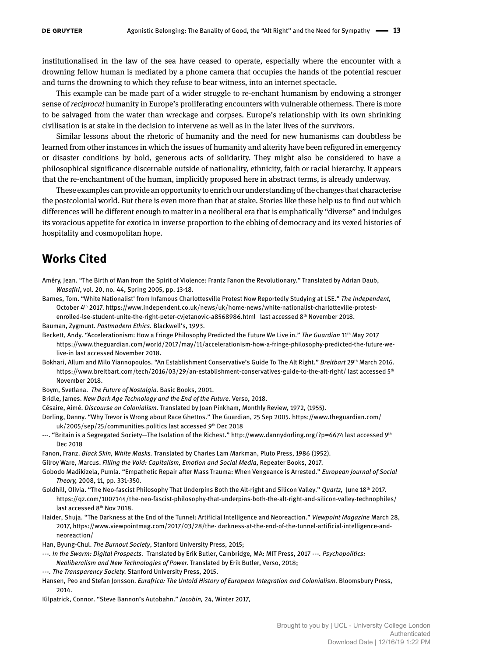institutionalised in the law of the sea have ceased to operate, especially where the encounter with a drowning fellow human is mediated by a phone camera that occupies the hands of the potential rescuer and turns the drowning to which they refuse to bear witness, into an internet spectacle.

This example can be made part of a wider struggle to re-enchant humanism by endowing a stronger sense of *reciprocal* humanity in Europe's proliferating encounters with vulnerable otherness. There is more to be salvaged from the water than wreckage and corpses. Europe's relationship with its own shrinking civilisation is at stake in the decision to intervene as well as in the later lives of the survivors.

Similar lessons about the rhetoric of humanity and the need for new humanisms can doubtless be learned from other instances in which the issues of humanity and alterity have been refigured in emergency or disaster conditions by bold, generous acts of solidarity. They might also be considered to have a philosophical significance discernable outside of nationality, ethnicity, faith or racial hierarchy. It appears that the re-enchantment of the human, implicitly proposed here in abstract terms, is already underway.

These examples can provide an opportunity to enrich our understanding of the changes that characterise the postcolonial world. But there is even more than that at stake. Stories like these help us to find out which differences will be different enough to matter in a neoliberal era that is emphatically "diverse" and indulges its voracious appetite for exotica in inverse proportion to the ebbing of democracy and its vexed histories of hospitality and cosmopolitan hope.

### **Works Cited**

Améry, Jean. "The Birth of Man from the Spirit of Violence: Frantz Fanon the Revolutionary." Translated by Adrian Daub, *Wasafiri*, vol. 20, no. 44, Spring 2005, pp. 13-18.

Barnes, Tom. "White Nationalist' from Infamous Charlottesville Protest Now Reportedly Studying at LSE." *The Independent,* October 4<sup>th</sup> 2017. [https://www.independent.co.uk/news/uk/home-news/white-nationalist-charlotteville-protest](https://www.independent.co.uk/news/uk/home-news/white-nationalist-charlotteville-protest-enrolled-lse-student-unite-the-right-peter-cvjetanovic-a8568986.html)[enrolled-lse-student-unite-the-right-peter-cvjetanovic-a8568986.html](https://www.independent.co.uk/news/uk/home-news/white-nationalist-charlotteville-protest-enrolled-lse-student-unite-the-right-peter-cvjetanovic-a8568986.html) last accessed 8th November 2018.

Bauman, Zygmunt. *Postmodern Ethics.* Blackwell's, 1993.

Beckett, Andy. "Accelerationism: How a Fringe Philosophy Predicted the Future We Live in." *The Guardian* 11th May 2017 [https://www.theguardian.com/world/2017/may/11/accelerationism-how-a-fringe-philosophy-predicted-the-future-we](https://www.theguardian.com/world/2017/may/11/accelerationism-how-a-fringe-philosophy-predicted-the-future-we-live-in)[live-in](https://www.theguardian.com/world/2017/may/11/accelerationism-how-a-fringe-philosophy-predicted-the-future-we-live-in) last accessed November 2018.

Bokhari, Allum and Milo Yiannopoulos. "An Establishment Conservative's Guide To The Alt Right." *Breitbart* 29th March 2016. <https://www.breitbart.com/tech/2016/03/29/an-establishment-conservatives-guide-to-the-alt-right/> last accessed 5th November 2018.

- Boym, Svetlana. *The Future of Nostalgia.* Basic Books, 2001.
- Bridle, James. *New Dark Age Technology and the End of the Future*. Verso, 2018.
- Césaire, Aimé. *Discourse on Colonialism.* Translated by Joan Pinkham, Monthly Review, 1972, (1955).
- Dorling, Danny. "Why Trevor is Wrong about Race Ghettos." The Guardian, 25 Sep 2005. [https://www.theguardian.com/](https://www.theguardian.com/uk/2005/sep/25/communities.politics)  $uk/2005/sep/25/communities.$  politics last accessed 9<sup>th</sup> Dec 2018
- ---. "Britain is a Segregated Society—The Isolation of the Richest."<http://www.dannydorling.org/?p=6674> last accessed 9th Dec 2018

Fanon, Franz. *Black Skin, White Masks.* Translated by Charles Lam Markman, Pluto Press, 1986 (1952).

Gilroy Ware, Marcus. *Filling the Void: Capitalism, Emotion and Social Media*, Repeater Books, 2017.

Gobodo Madikizela, Pumla. "Empathetic Repair after Mass Trauma: When Vengeance is Arrested." *European Journal of Social Theory,* 2008, 11, pp. 331-350.

Goldhill, Olivia. "The Neo-fascist Philosophy That Underpins Both the Alt-right and Silicon Valley." *Quartz,* June 18th 2017. <https://qz.com/1007144/the-neo-fascist-philosophy-that-underpins-both-the-alt-right-and-silicon-valley-technophiles/> last accessed 8<sup>th</sup> Nov 2018.

- Haider, Shuja. "The Darkness at the End of the Tunnel: Artificial Intelligence and Neoreaction." *Viewpoint Magazine* March 28, 2017, [https://www.viewpointmag.com/2017/03/28/the- darkness-at-the-end-of-the-tunnel-artificial-intelligence-and](https://www.viewpointmag.com/2017/03/28/the- darkness-at-the-end-of-the-tunnel-artificial-intelligence-and-neoreaction/)[neoreaction/](https://www.viewpointmag.com/2017/03/28/the- darkness-at-the-end-of-the-tunnel-artificial-intelligence-and-neoreaction/)
- Han, Byung-Chul. *The Burnout Society*, Stanford University Press, 2015;

*---. In the Swarm: Digital Prospects.* Translated by Erik Butler, Cambridge, MA: MIT Press, 2017 *---. Psychopolitics:* 

- *Neoliberalism and New Technologies of Power.* Translated by Erik Butler, Verso, 2018;
- *---. The Transparency Society.* Stanford University Press, 2015.
- Hansen, Peo and Stefan Jonsson. *Eurafrica: The Untold History of European Integration and Colonialism*. Bloomsbury Press, 2014.
- Kilpatrick, Connor. "Steve Bannon's Autobahn." *Jacobin,* 24, Winter 2017,